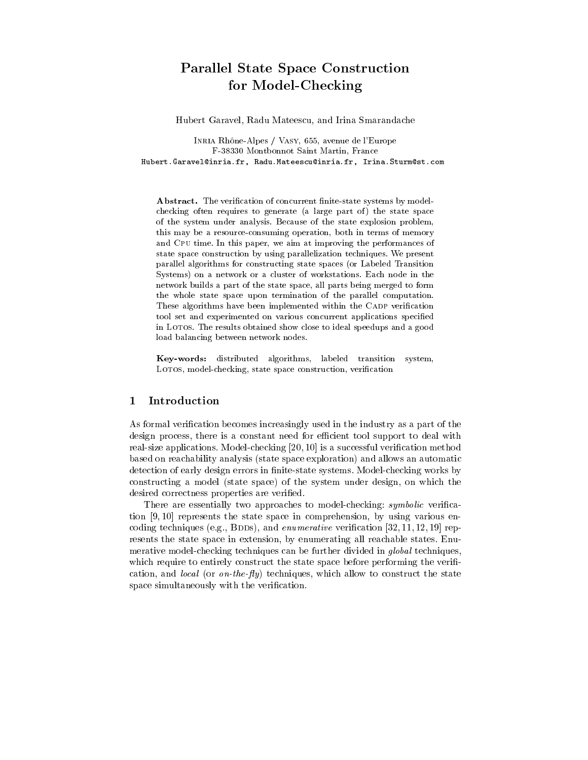# Parallel State Space Construction for Model-Checking

Hubert Garavel, Radu Mateescu, and Irina Smarandache

Inria Rh^one-Alpes / Vasy, 655, avenue de l'Europe F-38330 Montbonnot Saint Martin, France Hubert.Garavel@inria.fr, Radu.Mateescu@inria.fr, Irina.Sturm@st.com

Abstract. The verification of concurrent finite-state systems by modelchecking often requires to generate (a large part of) the state space of the system under analysis. Because of the state explosion problem, this may be a resource-consuming operation, both in terms of memory and Cpu time. In this paper, we aim at improving the performances of state space construction by using parallelization techniques. We present parallel algorithms for constructing state spaces (or Labeled Transition Systems) on a network or a cluster of workstations. Each node in the network builds a part of the state space, all parts being merged to form the whole state space upon termination of the parallel computation. These algorithms have been implemented within the CADP verification tool set and experimented on various concurrent applications specied in Lotos. The results obtained show close to ideal speedups and a good load balancing between network nodes.

Key-words: distributed algorithms, labeled transition system, LOTOS, model-checking, state space construction, verification

#### **Introduction**  $\mathbf{1}$

As formal verication becomes increasingly used in the industry as a part of the design process, there is a constant need for efficient tool support to deal with real-size applications. Model-checking [20, 10] is a successful verification method based on reachability analysis (state space exploration) and allows an automatic detection of early design errors in finite-state systems. Model-checking works by constructing a model (state space) of the system under design, on which the desired correctness properties are verified.

There are essentially two approaches to model-checking: symbolic verification [9, 10] represents the state space in comprehension, by using various encoding techniques (e.g., BDDs), and enumerative verification  $[32, 11, 12, 19]$  represents the state space in extension, by enumerating all reachable states. Enumerative model-checking techniques can be further divided in *global* techniques, which require to entirely construct the state space before performing the verification, and *local* (or *on-the-fly*) techniques, which allow to construct the state space simultaneously with the verification.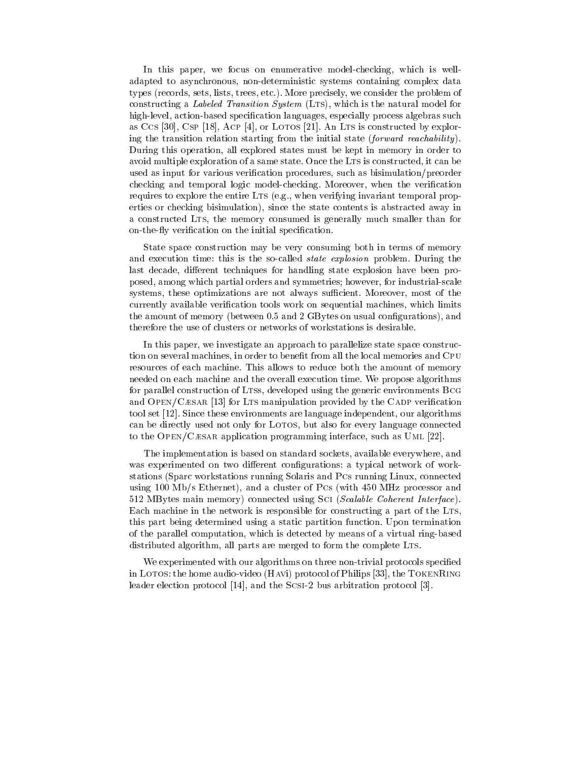In this paper, we focus on enumerative model-checking, which is welladapted to asynchronous, non-deterministic systems containing complex data types (records, sets, lists, trees, etc.). More precisely, we consider the problem of constructing a Labeled Transition System (LTS), which is the natural model for high-level, action-based specification languages, especially process algebras such as Ccs  $[30]$ , Csp  $[18]$ , Acp  $[4]$ , or LOTOS  $[21]$ . An LTs is constructed by exploring the transition relation starting from the initial state (*forward reachability*). During this operation, all explored states must be kept in memory in order to avoid multiple exploration of a same state. Once the LTS is constructed, it can be used as input for various verification procedures, such as bisimulation/preorder checking and temporal logic model-checking. Moreover, when the verication requires to explore the entire LTs (e.g., when verifying invariant temporal properties or checking bisimulation), since the state contents is abstracted away in a constructed LTs, the memory consumed is generally much smaller than for on-they verication on the initial specication.

State space construction may be very consuming both in terms of memory and execution time: this is the so-called state explosion problem. During the last decade, different techniques for handling state explosion have been proposed, among which partial orders and symmetries; however, for industrial-scale systems, these optimizations are not always sufficient. Moreover, most of the currently available verification tools work on sequential machines, which limits the amount of memory (between 0.5 and 2 GBytes on usual configurations), and therefore the use of clusters or networks of workstations is desirable.

In this paper, we investigate an approach to parallelize state space construction on several machines, in order to benet from all the local memories and Cpu resources of each machine. This allows to reduce both the amount of memory needed on each machine and the overall execution time. We propose algorithms for parallel construction of LTss, developed using the generic environments  $B_{CG}$ and  $\text{OPEN/CESAR}$  [13] for LTs manipulation provided by the CADP verification tool set [12]. Since these environments are language independent, our algorithms can be directly used not only for LOTOS, but also for every language connected to the OPEN/CESAR application programming interface, such as UML  $[22]$ .

The implementation is based on standard sockets, available everywhere, and was experimented on two different configurations: a typical network of workstations (Sparc workstations running Solaris and Pcs running Linux, connected using 100 Mb/s Ethernet), and a cluster of Pcs (with 450 MHz processor and 512 MBytes main memory) connected using Sci (Scalable Coherent Interface). Each machine in the network is responsible for constructing a part of the LTs, this part being determined using a static partition function. Upon termination of the parallel computation, which is detected by means of a virtual ring-based distributed algorithm, all parts are merged to form the complete LTS.

We experimented with our algorithms on three non-trivial protocols specified in Lotos: the home audio-video (HAVI) protocol of Philips [33], the TOKENRING leader election protocol [14], and the Scsi-2 bus arbitration protocol [3].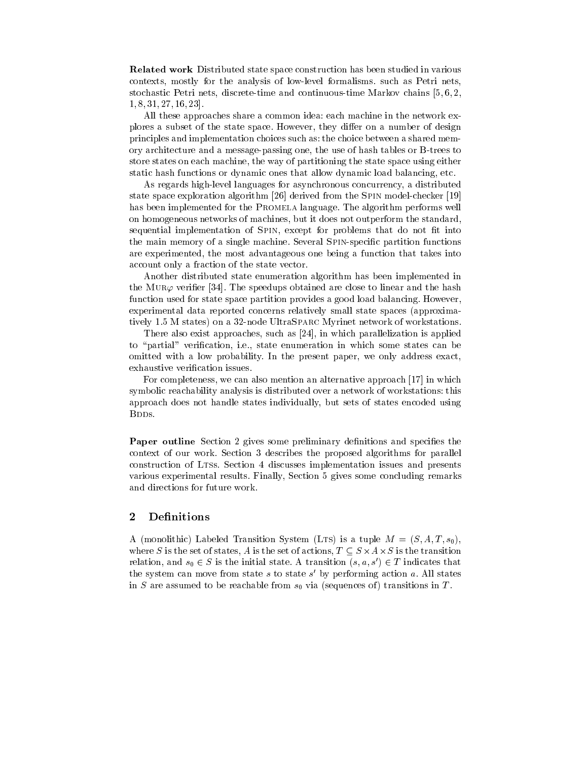Related work Distributed state space construction has been studied in various contexts, mostly for the analysis of low-level formalisms. such as Petri nets, stochastic Petri nets, discrete-time and continuous-time Markov chains [5, 6, 2, 1, 8, 31, 27, 16, 23].

All these approaches share a common idea: each machine in the network explores a subset of the state space. However, they differ on a number of design principles and implementation choices such as: the choice between a shared memory architecture and a message-passing one, the use of hash tables or B-trees to store states on each machine, the way of partitioning the state space using either static hash functions or dynamic ones that allow dynamic load balancing, etc.

As regards high-level languages for asynchronous concurrency, a distributed state space exploration algorithm [26] derived from the Spin model-checker [19] has been implemented for the PROMELA language. The algorithm performs well on homogeneous networks of machines, but it does not outperform the standard, sequential implementation of SPIN, except for problems that do not fit into the main memory of a single machine. Several Spin-specic partition functions are experimented, the most advantageous one being a function that takes into account only a fraction of the state vector.

Another distributed state enumeration algorithm has been implemented in the MUR $\varphi$  verifier [34]. The speedups obtained are close to linear and the hash function used for state space partition provides a good load balancing. However, experimental data reported concerns relatively small state spaces (approximatively 1.5 M states) on a 32-node UltraSparc Myrinet network of workstations.

There also exist approaches, such as [24], in which parallelization is applied to "partial" verification, i.e., state enumeration in which some states can be omitted with a low probability. In the present paper, we only address exact, exhaustive verification issues.

For completeness, we can also mention an alternative approach [17] in which symbolic reachability analysis is distributed over a network of workstations: this approach does not handle states individually, but sets of states encoded using B<sub>DDs</sub>

Paper outline Section 2 gives some preliminary denitions and species the context of our work. Section 3 describes the proposed algorithms for parallel construction of Ltss. Section 4 discusses implementation issues and presents various experimental results. Finally, Section 5 gives some concluding remarks and directions for future work.

#### $\overline{2}$ **Definitions**

A (monolithic) Labeled Transition System (LTS) is a tuple  $M = (S, A, T, s_0)$ , where  $S$  is the set of states, A is the set of actions,  $I \subseteq S \times A \times S$  is the transition relation, and  $s_0 \in S$  is the initial state. A transition  $(s, a, s') \in T$  indicates that the system can move from state  $s$  to state  $s$  by performing action  $a$ . All states in S are assumed to be reachable from  $s_0$  via (sequences of) transitions in T.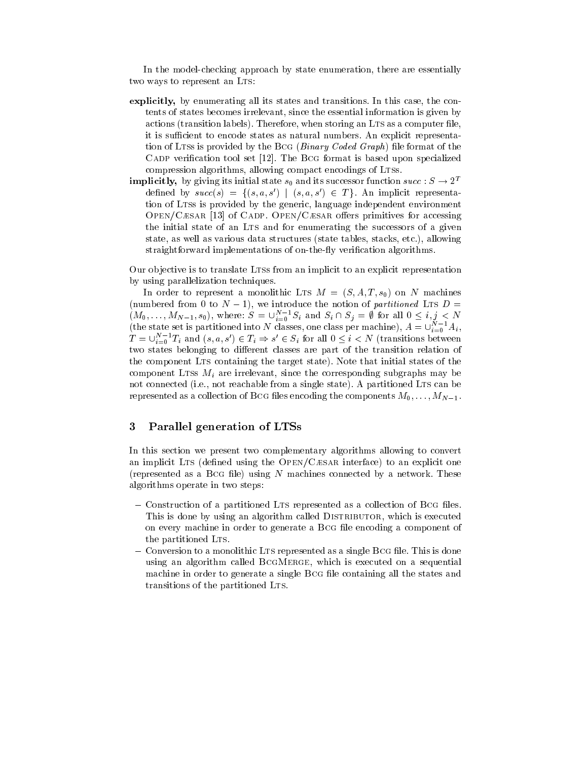In the model-checking approach by state enumeration, there are essentially two ways to represent an LTS:

- explicitly, by enumerating all its states and transitions. In this case, the contents of states becomes irrelevant, since the essential information is given by actions (transition labels). Therefore, when storing an LTs as a computer file, it is sufficient to encode states as natural numbers. An explicit representation of LTss is provided by the BCG (*Binary Coded Graph*) file format of the CADP verification tool set  $[12]$ . The BCG format is based upon specialized compression algorithms, allowing compact encodings of LTSs.
- **implicitly,** by giving its initial state  $s_0$  and its successor function  $succ : S \rightarrow Z^$ defined by  $succ(s) = \{(s, a, s') | (s, a, s') \in T\}$ . An implicit representation of LTSs is provided by the generic, language independent environment OPEN/CESAR [13] of CADP. OPEN/CESAR offers primitives for accessing the initial state of an LTs and for enumerating the successors of a given state, as well as various data structures (state tables, stacks, etc.), allowing straightforward implementations of on-the-fly verification algorithms.

Our objective is to translate LTSs from an implicit to an explicit representation by using parallelization techniques.

In order to represent a monolithic LTs  $M = (S, A, T, s_0)$  on N machines (numbered from 0 to  $N = 1$ ), we introduce the notion of partitioned Lts  $D =$  $(M_0,\ldots,M_{N-1},s_0)$ , where:  $S = \bigcup_{i=0} S_i$  and  $S_i \cap S_j = \emptyset$  for all  $0 \leq i,j \leq N$ (the state set is partitioned into *I*V classes, one class per machine),  $A = \bigcup_{i=0} A_i,$  $T = \bigcup_{i=0}^{n} T_i$  and  $(s, a, s') \in T_i \Rightarrow s' \in S_i$  for all  $0 \leq i < N$  (transitions between two states belonging to different classes are part of the transition relation of the component Lts containing the target state). Note that initial states of the component LTss  $M_i$  are irrelevant, since the corresponding subgraphs may be not connected (i.e., not reachable from a single state). A partitioned LTs can be represented as a collection of BcG files encoding the components  $M_0, \ldots, M_{N-1}$ .

# 3 Parallel generation of LTSs

In this section we present two complementary algorithms allowing to convert an implicit LTs (defined using the OPEN/C $\epsilon$ ESAR interface) to an explicit one (represented as a BCG file) using  $N$  machines connected by a network. These algorithms operate in two steps:

- { Construction of a partitioned Lts represented as a collection of Bcg les. This is done by using an algorithm called DISTRIBUTOR, which is executed on every machine in order to generate a BcG file encoding a component of the partitioned LTS.
- $\sim$  conversion to a monocities in a single as a single Bcg single Bcg single Bcg single Bcg single. using an algorithm called BcgMerge, which is executed on a sequential machine in order to generate a single BCG file containing all the states and transitions of the partitioned LTS.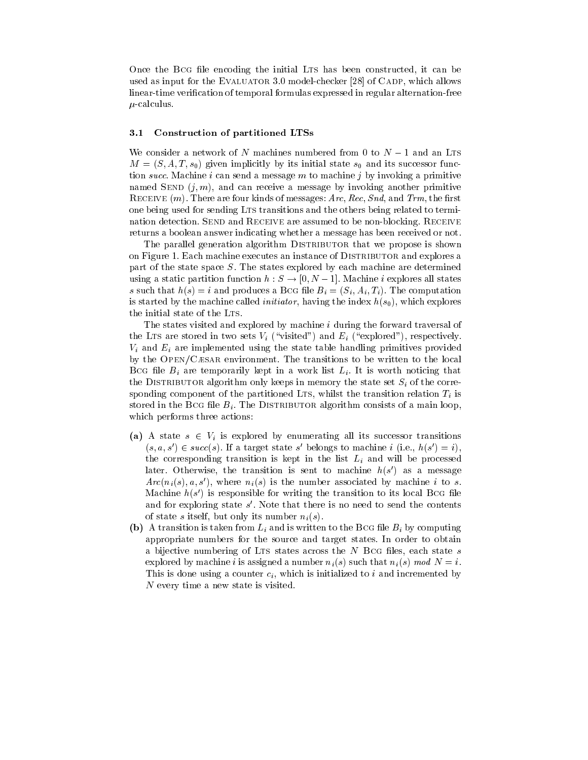Once the BCG file encoding the initial LTS has been constructed, it can be used as input for the EVALUATOR 3.0 model-checker [28] of CADP, which allows linear-time verification of temporal formulas expressed in regular alternation-free  $\mu$ -calculus.

#### 3.1Construction of partitioned LTSs

We consider a network of N machines numbered from 0 to  $N-1$  and an LTs  $M = (S, A, T, s_0)$  given implicitly by its initial state  $s_0$  and its successor function succ. Machine  $i$  can send a message  $m$  to machine  $j$  by invoking a primitive named SEND  $(j, m)$ , and can receive a message by invoking another primitive RECEIVE  $(m)$ . There are four kinds of messages: Arc, Rec, Snd, and Trm, the first one being used for sending Lts transitions and the others being related to termination detection. SEND and RECEIVE are assumed to be non-blocking. RECEIVE returns a boolean answer indicating whether a message has been received or not.

The parallel generation algorithm DISTRIBUTOR that we propose is shown on Figure 1. Each machine executes an instance of DISTRIBUTOR and explores a part of the state space S. The states explored by each machine are determined using a static partition function  $h : S \to [0, N - 1]$ . Machine *i* explores all states s such that  $h(s) = i$  and produces a B cG file  $B_i = (S_i, A_i, T_i)$ . The computation is started by the machine called *initiator*, having the index  $h(s_0)$ , which explores the initial state of the LTS.

The states visited and explored by machine  $i$  during the forward traversal of the LTs are stored in two sets  $V_i$  ("visited") and  $E_i$  ("explored"), respectively.  $V_i$  and  $E_i$  are implemented using the state table handling primitives provided by the OPEN/CESAR environment. The transitions to be written to the local BcG file  $B_i$  are temporarily kept in a work list  $L_i$ . It is worth noticing that the DISTRIBUTOR algorithm only keeps in memory the state set  $S_i$  of the corresponding component of the partitioned LTs, whilst the transition relation  $T_i$  is stored in the BCG file  $B_i$ . The DISTRIBUTOR algorithm consists of a main loop, which performs three actions:

- (a) A state  $s \in V_i$  is explored by enumerating all its successor transitions  $(s, a, s) \in succ(s)$ . It a target state s belongs to machine  $i$  (i.e.,  $h(s) = i$ ), the corresponding transition is kept in the list  $L_i$  and will be processed later. Otherwise, the transition is sent to machine  $n(s$  ) as a message  $Arc(n_i(s), a, s')$ , where  $n_i(s)$  is the number associated by machine i to s. Machine  $n(s)$  is responsible for writing the transition to its local BCG file and for exploring state  $s$  . Note that there is no need to send the contents of state s itself, but only its number  $n_i(s)$ .
- (ii) A transition is taken from Li and is written to the Bcg computing  $\mu$  is  $\mu$  by computing  $\Omega$ appropriate numbers for the source and target states. In order to obtain a bijective numbering of LTs states across the  $N$  BcG files, each state  $s$ explored by machine i is assigned a number  $n_i(s)$  such that  $n_i(s)$  mod  $N = i$ . This is done using a counter  $c_i$ , which is initialized to i and incremented by N every time a new state is visited.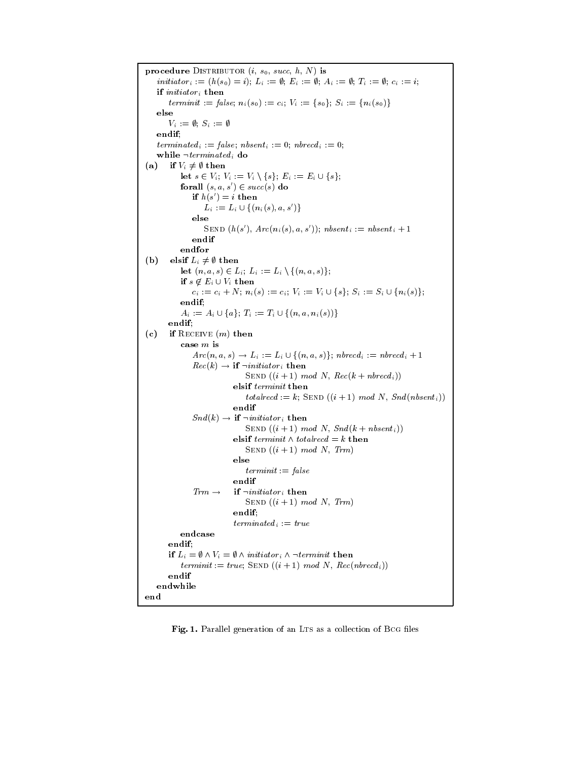procedure DISTRIBUTOR  $(i, s_0, succ, h, N)$  is  $\textit{inituation}_i := (h(s_0) = i); L_i := \emptyset; E_i := \emptyset; A_i := \emptyset; I_i := \emptyset; C_i := i;$ if in items is a second contract of the second contract of the second contract of the second contract of the s terminit := false;  $n_i(s_0) := c_i$ ;  $V_i := \{s_0\}$ ;  $S_i := \{n_i(s_0)\}\$ else  $V_i := \emptyset; S_i := \emptyset$ endif; terminated in the set of  $\mathbf{r}$  :  $\mathbf{r}$  is defined in the  $\mathbf{r}$  set of  $\mathbf{r}$  :  $\mathbf{r}$  is  $\mathbf{r}$  : 0; nbsent in the  $\mathbf{r}$  set of  $\mathbf{r}$  is a set of  $\mathbf{r}$  is a set of  $\mathbf{r}$  is a set of  $\mathbf{r}$  is while  $\neg$ *terminated* i do (a) if  $V_i \neq \emptyset$  then let  $s \in V_i$ ;  $V_i := V_i \setminus \{s\}; E_i := E_i \cup \{s\};$ forall  $(s, a, s') \in succ(s)$  do if  $n(s) = i$  then  $L_i := L_i \cup \{(n_i(s), a, s')\}$ else SEND ( $h(s)$ ,  $Arc(n_i(s), a, s)$ );  $nosent_i := nosent_i + 1$ endif endfor (b) elsif  $L_i \neq \emptyset$  then let  $(n, a, s) \in L_i$ ;  $L_i := L_i \setminus \{(n, a, s)\};$ if  $s \notin E_i \cup V_i$  then  $\begin{array}{l} (n,a,s) \in L_i \colon L_i := L_i \setminus \{(n,a,s)\};\ \varepsilon \not\in E_i \cup V_i \; \textbf{then} \ c_i := c_i + N; \: n_i(s) := c_i; \: V_i := V_i \cup \{s\}; \: S_i := S_i \cup \{n_i(s)\}; \end{array}$ endif;  $\begin{aligned} c_i &:= c_i + N;\, n_i(s) := c_i;\, V_i := V_i \cup \{s\};\, S_i := \ \textbf{endif};\ A_i &:= A_i \cup \{a\};\, T_i := T_i \cup \{(n,a,n_i(s))\} \end{aligned}$ endif; (c) if RECEIVE  $(m)$  then case m is  $Arc(n, a, s) \rightarrow L_i := L_i \cup \{(n, a, s)\};$   $nbrecd_i := nbrecd_i + 1$  $Rec(\kappa) \rightarrow \textbf{11} \neg \textit{initator}_i \textbf{then}$  $S = \{ \{ \}$   $\{ \}$   $\{ \}$   $\{ \}$   $\{ \}$   $\{ \}$   $\{ \}$   $\{ \}$   $\{ \}$   $\{ \}$   $\{ \}$   $\{ \}$   $\{ \}$   $\{ \}$   $\{ \}$   $\{ \}$   $\{ \}$   $\{ \}$   $\{ \}$   $\{ \}$   $\{ \}$   $\{ \}$   $\{ \}$   $\{ \}$   $\{ \}$   $\{ \}$   $\{ \}$   $\{ \}$   $\{ \}$   $\{ \}$   $\{ \}$  elsif terminit then totalrecd := k; SEND  $((i + 1) \mod N, Snd(nbsent_i))$ endif  $\mathcal{S}na(\kappa) \rightarrow \mathbf{u} \neg \mathit{unitator}_i$  then  $S$  is the interesting of  $S$  is the interesting interesting in  $S$ elsif  $terminit \wedge totalrecd = k$  then send ((i + 1) model is the north  $\sim$ else  $terminit := false$ endif  $\lim \rightarrow$  if  $\neg$  initiator, then  $\mathcal{S}$  and  $\mathcal{S}$  (i.e. ii ) in the set of  $\mathcal{S}$  . The set of  $\mathcal{S}$ endif; terminated in the set of the set of the set of the set of the set of the set of the set of the set of the set endcase endif; if  $L_i = \emptyset \wedge V_i = \emptyset \wedge initiator_i \wedge \neg terminit$  then terminit := true; SEND  $((i + 1) \mod N, Rec(nbrecd_i))$ endif endwhile end

Fig. 1. Parallel generation of an LTs as a collection of BcG files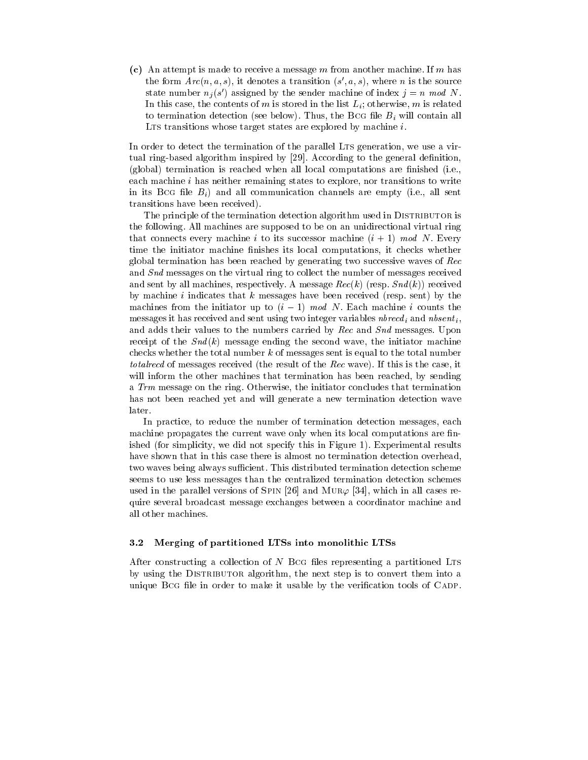(c) and intermediate matrix is made to message m from another matrix matrix matrix  $\sim$  m has  $\sim$ the form  $Arc(n, a, s)$ , it denotes a transition (s, a, s), where n is the source state number  $n_i(s')$  assigned by the sender machine of index  $j = n \mod N$ . In this case, the contents of m is stored in the list  $L_i$ ; otherwise, m is related to termination detection (see below). Thus, the BcG file  $B_i$  will contain all LTs transitions whose target states are explored by machine  $i$ .

In order to detect the termination of the parallel LTs generation, we use a virtual ring-based algorithm inspired by [29]. According to the general definition,  $(global)$  termination is reached when all local computations are finished (i.e., each machine i has neither remaining states to explore, nor transitions to write in its BcG file  $B_i$ ) and all communication channels are empty (i.e., all sent transitions have been received).

The principle of the termination detection algorithm used in DISTRIBUTOR is the following. All machines are supposed to be on an unidirectional virtual ring that connects every machine i to its successor machine  $(i + 1)$  mod N. Every time the initiator machine finishes its local computations, it checks whether global termination has been reached by generating two successive waves of Rec and Snd messages on the virtual ring to collect the number of messages received and sent by all machines, respectively. A message  $Rec(k)$  (resp.  $Snd(k)$ ) received by machine i indicates that k messages have been received (resp. sent) by the machines from the initiator up to  $(i - 1)$  mod N. Each machine i counts the messages it messages it has received and sent  $\alpha$  two integers  $\alpha$  and  $\alpha$  and  $\alpha$  and  $\alpha$  ,  $\alpha$ and adds their values to the numbers carried by Rec and Snd messages. Upon receipt of the  $Snd(k)$  message ending the second wave, the initiator machine checks whether the total number  $k$  of messages sent is equal to the total number totalrecd of messages received (the result of the Rec wave). If this is the case, it will inform the other machines that termination has been reached, by sending a Trm message on the ring. Otherwise, the initiator concludes that termination has not been reached yet and will generate a new termination detection wave later.

In practice, to reduce the number of termination detection messages, each machine propagates the current wave only when its local computations are finished (for simplicity, we did not specify this in Figure 1). Experimental results have shown that in this case there is almost no termination detection overhead, two waves being always sufficient. This distributed termination detection scheme seems to use less messages than the centralized termination detection schemes used in the parallel versions of SPIN [26] and MUR $\varphi$  [34], which in all cases require several broadcast message exchanges between a coordinator machine and all other machines.

#### 3.2Merging of partitioned LTSs into monolithic LTSs

After constructing a collection of  $N$  BcG files representing a partitioned LTs by using the DISTRIBUTOR algorithm, the next step is to convert them into a unique BcG file in order to make it usable by the verification tools of CADP.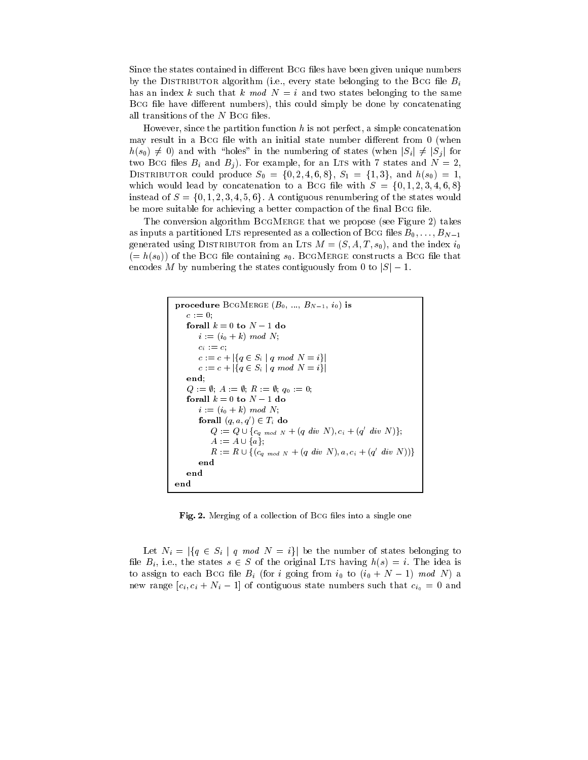Since the states contained in different  $B\text{CG}$  files have been given unique numbers by the DISTRIBUTOR algorithm (i.e., every state belonging to the BCG file  $B_i$ has an index k such that k mod  $N = i$  and two states belonging to the same BcG file have different numbers), this could simply be done by concatenating all transitions of the  $N$  BcG files.

However, since the partition function h is not perfect, a simple concatenation may result in a BcG file with an initial state number different from  $0$  (when  $h(s_0) \neq 0$  and with "holes" in the numbering of states (when  $|S_i| \neq |S_j|$  for two BcG files  $B_i$  and  $B_j$ ). For example, for an LTS with 7 states and  $N=2$ , DISTRIBUTOR could produce  $S_0 = \{0, 2, 4, 6, 8\}, S_1 = \{1, 3\}, \text{ and } h(s_0) = 1,$ which would lead by concatenation to a BcG file with  $S = \{0, 1, 2, 3, 4, 6, 8\}$ instead of  $S = \{0, 1, 2, 3, 4, 5, 6\}$ . A contiguous renumbering of the states would be more suitable for achieving a better compaction of the final  $B\text{cc}$  file.

The conversion algorithm BcgMerge that we propose (see Figure 2) takes as inputs a partitioned LTs represented as a collection of BcG files  $B_0, \ldots, B_{N-1}$ generated using DISTRIBUTOR from an LTS  $M = (S, A, T, s_0)$ , and the index  $i_0$  $\left( \begin{array}{c} h_1 \geq 0 \end{array} \right)$  , which is the Bcg Bcg g length containing some containing a Bcg g length  $\alpha$ generated using DISTRIBUTOR from an LTS  $M = (S, A, T, s_0)$ , and the index  $i$   $(= h(s_0))$  of the BCG file containing  $s_0$ . BCGMERGE constructs a BCG file tha encodes  $M$  by numbering the states contiguously from 0 to  $|S| - 1$ 

```
procedure BCGMERGE (B_0, ..., B_{N-1}, i_0) is
     c := 0;
     forall k = 0 to N - 1 do
           i := (i_0 + k) \text{ mod } N;c_i := c;c := c + |\{q \in S_i \mid q \mod N = i\}|c := c + |\{q \in S_i \mid q \mod N = i\}|end;
     Q := \emptyset; A := \emptyset; R := \emptyset; q_0 := 0;forall k = 0 to N - 1 do
           i := (i_0 + k) \text{ mod } N;forall (q, a, q') \in T_i do
                  \begin{array}{l} \mathbf{a} \in (i_0 + k) \mod N; \ \mathbf{a} \mathbf{I} \left( q, a, q' \right) \in T_i \ \mathbf{d} \mathbf{o} \ Q := Q \cup \{ c_{a \mod N} + (q \ div \ N), c_i + (q' \ div \ N) \}; \end{array}all (q, a, q') \in T_i do<br>
Q := Q \cup \{c_{q \mod N} + (q) \}<br>
A := A \cup \{a\}Q := Q \cup \{c_{q \mod N} + (q \ div \ N), c_i + (q' \ div \ N)\};\ A := A \cup \{a\};\ R := R \cup \{(c_{q \mod N} + (q \ div \ N)), a, c_i + (q' \ div \ N))\}\end
     end
end
```
Fig. 2. Merging of a collection of BcG files into a single one

Let  $N_i = |\{q \in S_i \mid q \mod N = i\}|$  be the number of states belonging to file  $B_i$ , i.e., the states  $s \in S$  of the original LTs having  $h(s) = i$ . The idea is to assign to each BcG file  $B_i$  (for i going from  $i_0$  to  $(i_0 + N - 1)$  mod N) a new range  $[c_i, c_i + N_i - 1]$  of contiguous state numbers such that  $c_{i_0} = 0$  and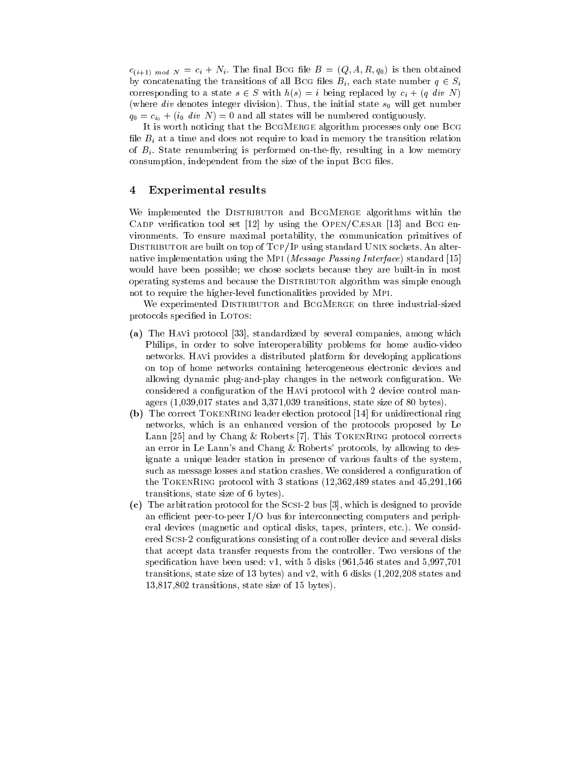$c_{(i+1) \mod N} = c_i + N_i$ . The final BCG file  $B = (Q, A, R, q_0)$  is then obtained by concatenating the transitions of all BcG files  $B_i$ , each state number  $q \in S_i$ corresponding to a state  $s \in S$  with  $h(s) = i$  being replaced by  $c_i + (q \ div N)$ (where div denotes integer division). Thus, the initial state  $s_0$  will get number  $q_0 = c_{i_0} + (i_0 \text{div } N) = 0$  and all states will be numbered contiguously.

It is worth noticing that the BcgMerge algorithm processes only one Bcg file  $B_i$  at a time and does not require to load in memory the transition relation of  $B_i$ . State renumbering is performed on-the-fly, resulting in a low memory consumption, independent from the size of the input BcG files.

### 4 Experimental results

We implemented the DISTRIBUTOR and BCGMERGE algorithms within the CADP verification tool set  $[12]$  by using the OPEN/CESAR  $[13]$  and BCG environments. To ensure maximal portability, the communication primitives of DISTRIBUTOR are built on top of  $TCP/IP$  using standard UNIX sockets. An alternative implementation using the MPI (*Message Passing Interface*) standard [15] would have been possible; we chose sockets because they are built-in in most operating systems and because the DISTRIBUTOR algorithm was simple enough not to require the higher-level functionalities provided by Mpi.

We experimented DISTRIBUTOR and BCGMERGE on three industrial-sized protocols specified in LOTOS:

- (a) The Havi protocol  $\{33\}$  standardized by several companies, among which  $\Delta$ Philips, in order to solve interoperability problems for home audio-video networks. Havi provides a distributed platform for developing applications on top of home networks containing heterogeneous electronic devices and allowing dynamic plug-and-play changes in the network conguration. We considered a configuration of the HAVi protocol with 2 device control managers (1,039,017 states and 3,371,039 transitions, state size of 80 bytes).
- $\{b_{\alpha}\}$  The correct Tomation reduce the correct protocol [14] for unidirection ring networks, which is an enhanced version of the protocols proposed by Le Lann [25] and by Chang & Roberts [7]. This TOKENRING protocol corrects an error in Le Lann's and Chang & Roberts' protocols, by allowing to designate a unique leader station in presence of various faults of the system, such as message losses and station crashes. We considered a configuration of the TokenRing protocol with 3 stations (12,362,489 states and 45,291,166 transitions, state size of 6 bytes).
- $\{e\}$  The arbitration protocol for the SCSI-2 bus  $\{9\}$ , which is designed to provide an efficient peer-to-peer  $I/O$  bus for interconnecting computers and peripheral devices (magnetic and optical disks, tapes, printers, etc.). We considered SCSI-2 configurations consisting of a controller device and several disks that accept data transfer requests from the controller. Two versions of the specification have been used:  $v1$ , with 5 disks (961,546 states and 5,997,701) transitions, state size of 13 bytes) and v2, with 6 disks (1,202,208 states and 13,817,802 transitions, state size of 15 bytes).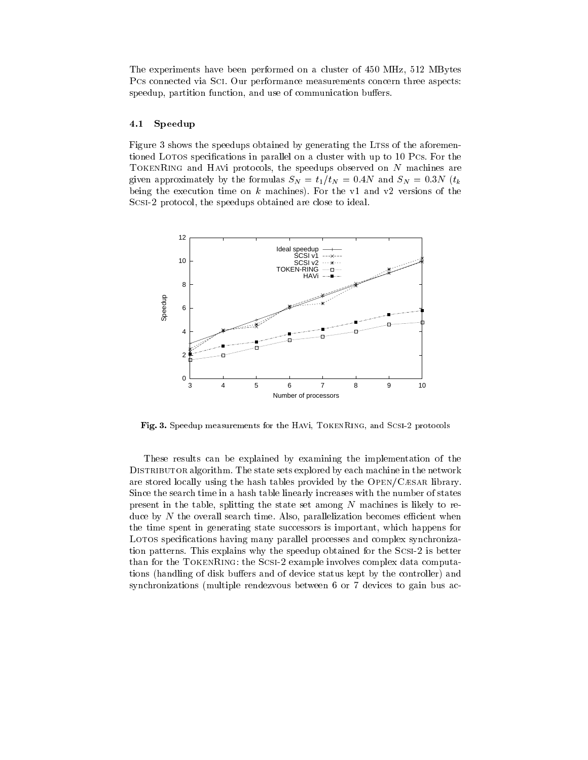The experiments have been performed on a cluster of 450 MHz, 512 MBytes Pcs connected via Sci. Our performance measurements concern three aspects: speedup, partition function, and use of communication buffers.

#### 4.1Speedup

Figure 3 shows the speedups obtained by generating the LTSs of the aforementioned LOTOS specifications in parallel on a cluster with up to 10 Pcs. For the TokenRing and Havi protocols, the speedups observed on N machines are given approximately by the formulas  $S_N = t_1/t_N = 0.4N$  and  $S_N = 0.3N$  ( $t_k$ ) being the execution time on  $k$  machines). For the v1 and v2 versions of the Scsi-2 protocol, the speedups obtained are close to ideal.



Fig. 3. Speedup measurements for the Havi, TokenRing, and Scsi-2 protocols

These results can be explained by examining the implementation of the DISTRIBUTOR algorithm. The state sets explored by each machine in the network are stored locally using the hash tables provided by the  $OPEN/CESAR$  library. Since the search time in a hash table linearly increases with the number of states present in the table, splitting the state set among  $N$  machines is likely to reduce by  $N$  the overall search time. Also, parallelization becomes efficient when the time spent in generating state successors is important, which happens for Lotos specifications having many parallel processes and complex synchronization patterns. This explains why the speedup obtained for the Scsi-2 is better than for the TokenRing: the Scsi-2 example involves complex data computations (handling of disk buffers and of device status kept by the controller) and synchronizations (multiple rendezvous between 6 or 7 devices to gain bus ac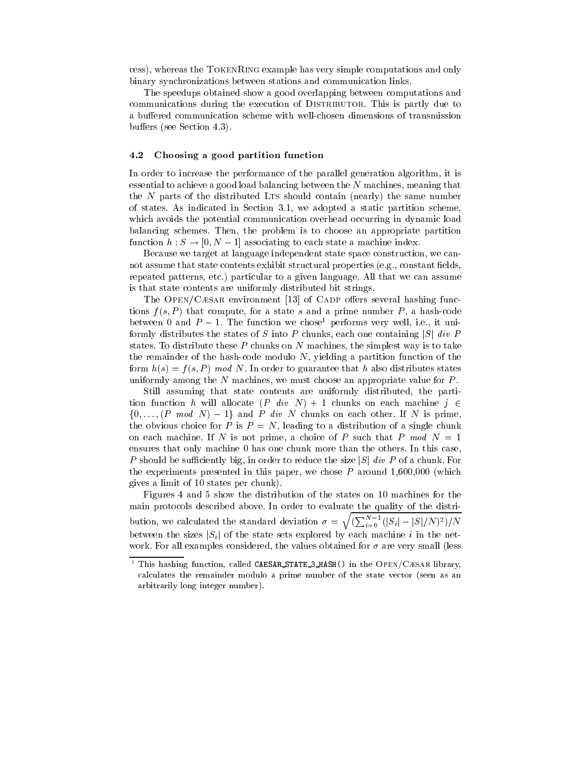cess), whereas the TokenRing example has very simple computations and only binary synchronizations between stations and communication links.

The speedups obtained show a good overlapping between computations and communications during the execution of DISTRIBUTOR. This is partly due to a buffered communication scheme with well-chosen dimensions of transmission buffers (see Section 4.3).

#### 4.2Choosing a good partition function

In order to increase the performance of the parallel generation algorithm, it is essential to achieve a good load balancing between the N machines, meaning that the  $N$  parts of the distributed LTs should contain (nearly) the same number of states. As indicated in Section 3.1,we adopted a static partition scheme, which avoids the potential communication overhead occurring in dynamic load balancing schemes. Then, the problem is to choose an appropriate partition function  $h : S \to [0, N - 1]$  associating to each state a machine index.

Because we target at language independent state space construction, we cannot assume that state contents exhibit structural properties  $(e.g., constant fields,$ repeated patterns, etc.) particular to a given language. All that we can assume is that state contents are uniformly distributed bit strings.

The OPEN/CESAR environment [13] of CADP offers several hashing functions  $f(s, P)$  that compute, for a state s and a prime number P, a hash-code between 0 and  $P-1$ . The function we chose<sup>1</sup> performs very well, i.e., it uniformly distributes the states of S into P chunks, each one containing  $|S|$  div P states. To distribute these  $P$  chunks on  $N$  machines, the simplest way is to take the remainder of the hash-code modulo  $N$ , yielding a partition function of the form  $h(s) = f(s, P) \mod N$ . In order to guarantee that h also distributes states uniformly among the  $N$  machines, we must choose an appropriate value for  $P$ .

Still assuming that state contents are uniformly distributed, the partition function h will allocate  $(P \ div N) + 1$  chunks on each machine  $j \in$  $\{0,\ldots,(P \mod N)-1\}$  and P div N chunks on each other. If N is prime, the obvious choice for P is  $P = N$ , leading to a distribution of a single chunk on each machine. If N is not prime, a choice of P such that P mod  $N = 1$ ensures that only machine 0 has one chunk more than the others. In this case, P should be sufficiently big, in order to reduce the size  $|S|$  div P of a chunk. For the experiments presented in this paper, we chose  $P$  around 1,600,000 (which gives a limit of 10 states per chunk).

Figures 4 and 5 show the distribution of the states on 10 machines for the main protocols described above. In order to evaluate the quality of the distribution, we calculated the standard deviation  $\sigma = \sqrt{(\sum_{i=0}^{N-1} (|S_i| - |S|/N)^2)/N}$ between the sizes  $|S_i|$  of the state sets explored by each machine i in the network. For all examples considered, the values obtained for  $\sigma$  are very small (less

<sup>1</sup> This hashing function, called CAESAR STATE 3 HASH() in the Open/Csar library, calculates the remainder modulo a prime number of the state vector (seen as an arbitrarily long integer number).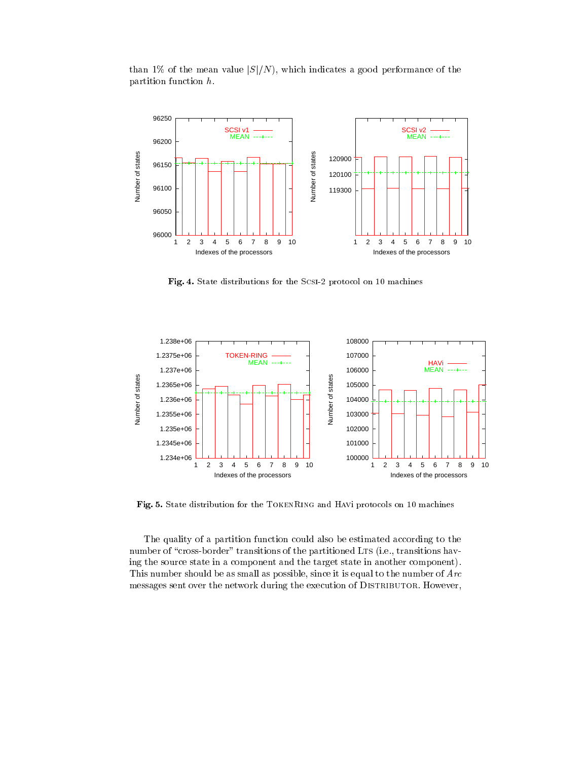than 1% of the mean value  $|S|/N$ , which indicates a good performance of the partition function h.



Fig. 4. State distributions for the Scsi-2 protocol on 10 machines



Fig. 5. State distribution for the TokenRing and Havi protocols on 10 machines

The quality of a partition function could also be estimated according to the number of "cross-border" transitions of the partitioned LTs (i.e., transitions having the source state in a component and the target state in another component). This number should be as small as possible, since it is equal to the number of Arc messages sent over the network during the execution of DISTRIBUTOR. However,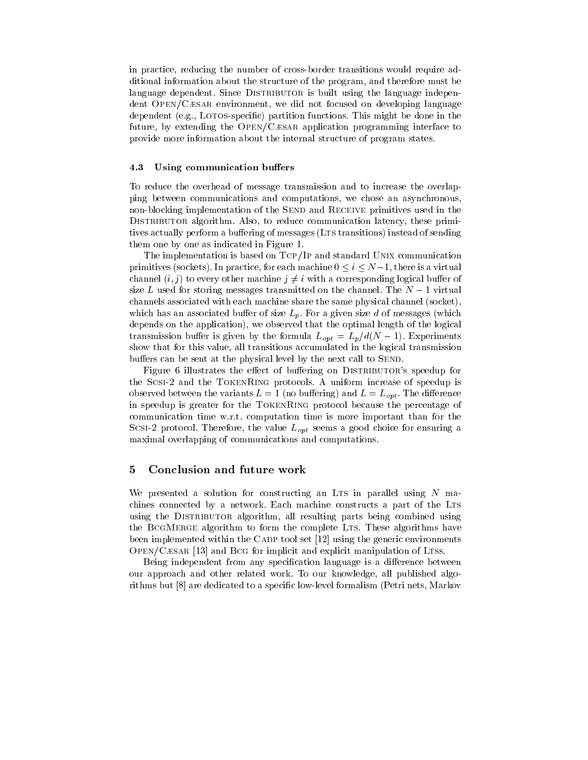in practice, reducing the number of cross-border transitions would require additional information about the structure of the program, and therefore must be language dependent. Since DISTRIBUTOR is built using the language independent OPEN/CESAR environment, we did not focused on developing language dependent (e.g., LOTOS-specific) partition functions. This might be done in the future, by extending the  $\text{OPEN}/\text{C}$  ESAR application programming interface to provide more information about the internal structure of program states.

#### 4.3Using communication buffers

To reduce the overhead of message transmission and to increase the overlapping between communications and computations, we chose an asynchronous, non-blocking implementation of the SEND and RECEIVE primitives used in the DISTRIBUTOR algorithm. Also, to reduce communication latency, these primitives actually perform a buffering of messages (LTs transitions) instead of sending them one by one as indicated in Figure 1.

The implementation is based on Tcp/Ip and standard Unix communication primitives (sockets). In practice, for each machine  $0 \le i \le N-1$ , there is a virtual channel  $(i, j)$  to every other machine  $j \neq i$  with a corresponding logical buffer of size L used for storing messages transmitted on the channel. The  $N-1$  virtual channels associated with each machine share the same physical channel (socket), which has an associated buffer of size  $L_p$ . For a given size d of messages (which depends on the application), we observed that the optimal length of the logical transmission buffer is given by the formula  $L_{opt} = L_p/d(N - 1)$ . Experiments show that for this value, all transitions accumulated in the logical transmission buffers can be sent at the physical level by the next call to SEND.

Figure 6 illustrates the effect of buffering on DISTRIBUTOR's speedup for the Scsi-2 and the TokenRing protocols. A uniform increase of speedup is observed between the variants  $L = 1$  (no buffering) and  $L = L_{\text{out}}$ . The difference in speedup is greater for the TokenRing protocol because the percentage of communication time w.r.t. computation time is more important than for the SCSI-2 protocol. Therefore, the value  $L_{opt}$  seems a good choice for ensuring a maximal overlapping of communications and computations.

# 5 Conclusion and future work

We presented a solution for constructing an LTs in parallel using  $N$  machines connected by a network. Each machine constructs a part of the LTS using the DISTRIBUTOR algorithm, all resulting parts being combined using the BCGMERGE algorithm to form the complete LTS. These algorithms have been implemented within the CADP tool set [12] using the generic environments  $OPEN/CESAR$  [13] and BcG for implicit and explicit manipulation of LTSs.

Being independent from any specification language is a difference between our approach and other related work. To our knowledge, all published algorithms but [8] are dedicated to a specic low-level formalism (Petri nets, Markov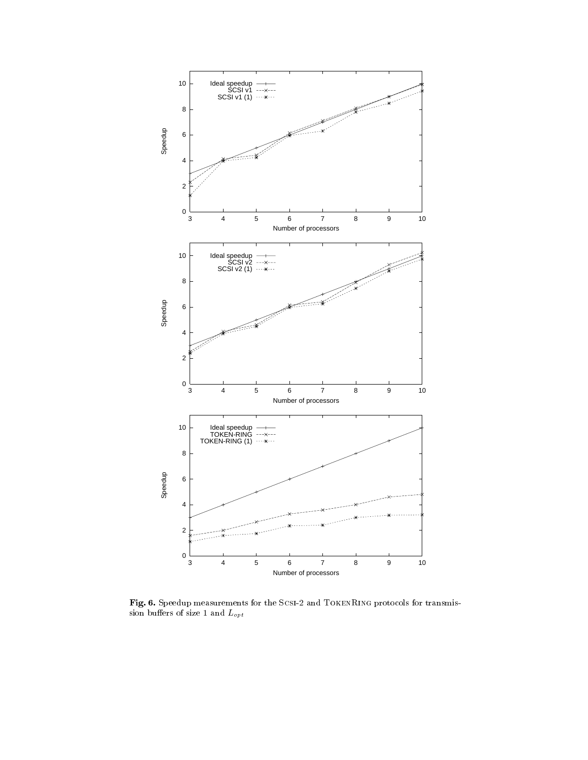

Fig. 6. Speedup measurements for the SCSI-2 and TOKENRING protocols for transmission buffers of size 1 and  $L_{opt}$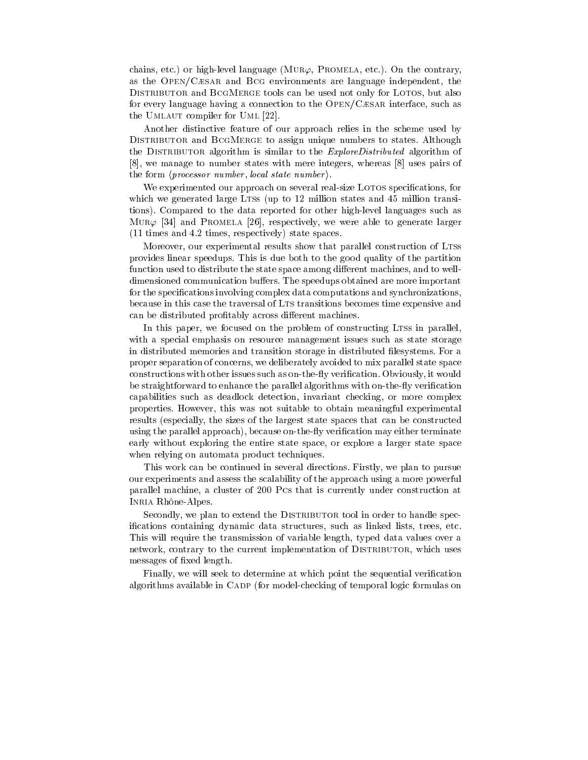chains, etc.) or high-level language (MUR $\varphi$ , PROMELA, etc.). On the contrary, as the  $\text{OPEN}/\text{CESAR}$  and  $\text{BCG}$  environments are language independent, the DISTRIBUTOR and BCGMERGE tools can be used not only for LOTOS, but also for every language having a connection to the  $OPEN/CESAR$  interface, such as the UMLAUT compiler for UML [22].

Another distinctive feature of our approach relies in the scheme used by DISTRIBUTOR and BCGMERGE to assign unique numbers to states. Although the DISTRIBUTOR algorithm is similar to the *ExploreDistributed* algorithm of [8], we manage to number states with mere integers, whereas [8] uses pairs of the form  $\langle processor\ number, local\ state\ number\rangle$ .

We experimented our approach on several real-size LOTOS specifications, for which we generated large LTSs (up to 12 million states and 45 million transitions). Compared to the data reported for other high-level languages such as MUR $\varphi$  [34] and PROMELA [26], respectively, we were able to generate larger (11 times and 4.2 times, respectively) state spaces.

Moreover, our experimental results show that parallel construction of LTSs provides linear speedups. This is due both to the good quality of the partition function used to distribute the state space among different machines, and to welldimensioned communication buffers. The speedups obtained are more important for the specifications involving complex data computations and synchronizations, because in this case the traversal of Lts transitions becomes time expensive and can be distributed profitably across different machines.

In this paper, we focused on the problem of constructing LTss in parallel, with a special emphasis on resource management issues such as state storage in distributed memories and transition storage in distributed lesystems. For a proper separation of concerns, we deliberately avoided to mix parallel state space constructions with other issues such as on-the-fly verification. Obviously, it would be straightforward to enhance the parallel algorithms with on-the fly verification capabilities such as deadlock detection, invariant checking, or more complex properties. However, this was not suitable to obtain meaningful experimental results (especially, the sizes of the largest state spaces that can be constructed using the parallel approach), because on-the-fly verification may either terminate early without exploring the entire state space, or explore a larger state space when relying on automata product techniques.

This work can be continued in several directions. Firstly, we plan to pursue our experiments and assess the scalability of the approach using a more powerful parallel machine, a cluster of 200 Pcs that is currently under construction at INRIA Rhône-Alpes.

Secondly, we plan to extend the DISTRIBUTOR tool in order to handle specifications containing dynamic data structures, such as linked lists, trees, etc. This will require the transmission of variable length, typed data values over a network, contrary to the current implementation of DISTRIBUTOR, which uses messages of fixed length.

Finally, we will seek to determine at which point the sequential verification algorithms available in CADP (for model-checking of temporal logic formulas on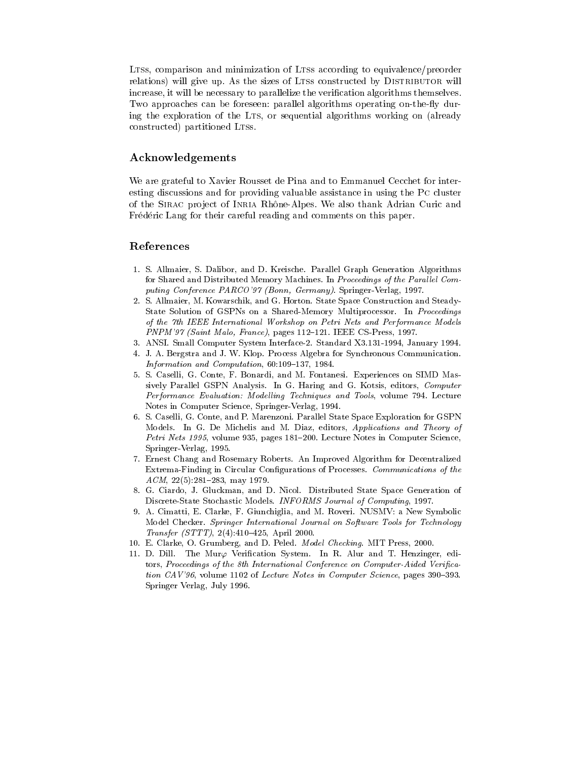Ltss, comparison and minimization of Ltss according to equivalence/preorder relations) will give up. As the sizes of LTSs constructed by DISTRIBUTOR will increase, it will be necessary to parallelize the verification algorithms themselves. Two approaches can be foreseen: parallel algorithms operating on-the-fly during the exploration of the LTS, or sequential algorithms working on (already constructed) partitioned LTSs.

## Acknowledgements

We are grateful to Xavier Rousset de Pina and to Emmanuel Cecchet for interesting discussions and for providing valuable assistance in using the Pc cluster of the SIRAC project of INRIA Rhône-Alpes. We also thank Adrian Curic and Frédéric Lang for their careful reading and comments on this paper.

### References

- 1. S. Allmaier, S. Dalibor, and D. Kreische. Parallel Graph Generation Algorithms for Shared and Distributed Memory Machines. In Proceedings of the Parallel Computing Conference PARCO'97 (Bonn, Germany). Springer-Verlag, 1997.
- 2. S. Allmaier, M. Kowarschik, and G. Horton. State Space Construction and Steady-State Solution of GSPNs on a Shared-Memory Multiprocessor. In Proceedings of the 7th IEEE International Workshop on Petri Nets and Performance Models PNPM'97 (Saint Malo, France), pages 112-121. IEEE CS-Press, 1997.
- 3. ANSI. Small Computer System Interface-2. Standard X3.131-1994, January 1994.
- 4. J. A. Bergstra and J. W. Klop. Process Algebra for Synchronous Communication. Information and Computation,  $60:109-137$ , 1984.
- 5. S. Caselli, G. Conte, F. Bonardi, and M. Fontanesi. Experiences on SIMD Massively Parallel GSPN Analysis. In G. Haring and G. Kotsis, editors, Computer Performance Evaluation: Modelling Techniques and Tools, volume 794. Lecture Notes in Computer Science, Springer-Verlag, 1994.
- 6. S. Caselli, G. Conte, and P. Marenzoni. Parallel State Space Exploration for GSPN Models. In G. De Michelis and M. Diaz, editors, Applications and Theory of Petri Nets 1995, volume 935, pages 181-200. Lecture Notes in Computer Science, Springer-Verlag, 1995.
- 7. Ernest Chang and Rosemary Roberts. An Improved Algorithm for Decentralized Extrema-Finding in Circular Congurations of Processes. Communications of the  $ACM$ ,  $22(5):281-283$ , may 1979.
- 8. G. Ciardo, J. Gluckman, and D. Nicol. Distributed State Space Generation of Discrete-State Stochastic Models. INFORMS Journal of Computing, 1997.
- 9. A. Cimatti, E. Clarke, F. Giunchiglia, and M. Roveri. NUSMV: a New Symbolic Model Checker. Springer International Journal on Software Tools for Technology Transfer (STTT), 2(4):410-425, April 2000.
- 10. E. Clarke, O. Grumberg, and D. Peled. Model Checking. MIT Press, 2000.
- 11. D. Dill. The Mur $\varphi$  Verification System. In R. Alur and T. Henzinger, editors, Proceedings of the 8th International Conference on Computer-Aided Verification  $CAV'96$ , volume 1102 of Lecture Notes in Computer Science, pages 390-393. Springer Verlag, July 1996.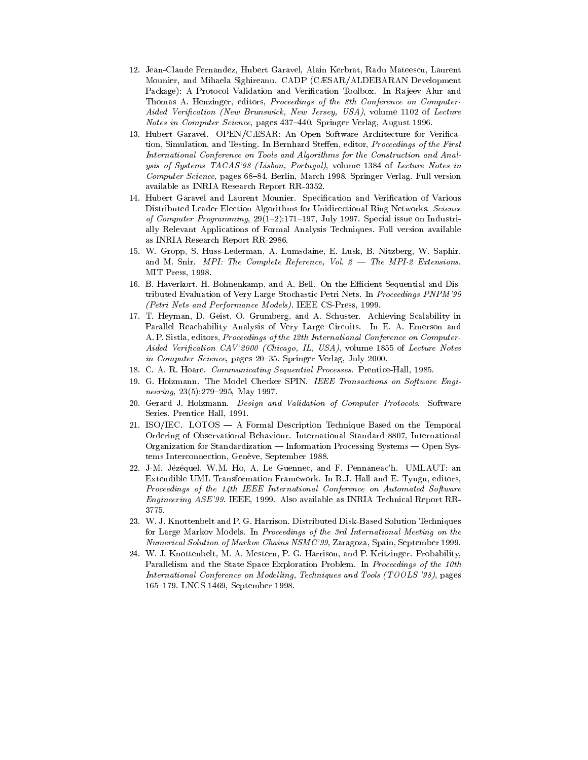- 12. Jean-Claude Fernandez, Hubert Garavel, Alain Kerbrat, Radu Mateescu, Laurent Mounier, and Mihaela Sighireanu. CADP (CSAR/ALDEBARAN Development Package): A Protocol Validation and Verification Toolbox. In Rajeev Alur and Thomas A. Henzinger, editors, Proceedings of the 8th Conference on Computer-Aided Verification (New Brunswick, New Jersey, USA), volume 1102 of Lecture Notes in Computer Science, pages 437-440. Springer Verlag, August 1996.
- 13. Hubert Garavel. OPEN/CÆSAR: An Open Software Architecture for Verification, Simulation, and Testing. In Bernhard Steffen, editor, *Proceedings of the First* International Conference on Tools and Algorithms for the Construction and Analysis of Systems TACAS'98 (Lisbon, Portugal), volume 1384 of Lecture Notes in Computer Science, pages 68-84, Berlin, March 1998. Springer Verlag. Full version available as INRIA Research Report RR-3352.
- 14. Hubert Garavel and Laurent Mounier. Specification and Verification of Various Distributed Leader Election Algorithms for Unidirectional Ring Networks. Science of Computer Programming,  $29(1-2):171-197$ , July 1997. Special issue on Industrially Relevant Applications of Formal Analysis Techniques. Full version available as INRIA Research Report RR-2986.
- 15. W. Gropp, S. Huss-Lederman, A. Lumsdaine, E. Lusk, B. Nitzberg, W. Saphir, and M. Snir. MPI: The Complete Reference, Vol.  $2$  - The MPI-2 Extensions. MIT Press, 1998.
- 16. B. Haverkort, H. Bohnenkamp, and A. Bell. On the Efficient Sequential and Distributed Evaluation of Very Large Stochastic Petri Nets. In Proceedings PNPM'99 (Petri Nets and Performance Models). IEEE CS-Press, 1999.
- 17. T. Heyman, D. Geist, O. Grumberg, and A. Schuster. Achieving Scalability in Parallel Reachability Analysis of Very Large Circuits. In E. A. Emerson and A. P. Sistla, editors, Proceedings of the 12th International Conference on Computer-Aided Verification CAV'2000 (Chicago, IL, USA), volume 1855 of Lecture Notes in Computer Science, pages 20-35. Springer Verlag, July 2000.
- 18. C. A. R. Hoare. Communicating Sequential Processes. Prentice-Hall, 1985.
- 19. G. Holzmann. The Model Checker SPIN. IEEE Transactions on Software Engineering,  $23(5):279-295$ , May 1997.
- 20. Gerard J. Holzmann. Design and Validation of Computer Protocols. Software Series. Prentice Hall, 1991.
- 21. ISO/IEC. LOTOS A Formal Description Technique Based on the Temporal Ordering of Observational Behaviour. International Standard 8807, International Organization for Standardization — Information Processing Systems — Open Systems Interconnection, Genève, September 1988.
- 22. J-M. Jezequel, W.M. Ho, A. Le Guennec, and F. Pennaneac'h. UMLAUT: an Extendible UML Transformation Framework. In R.J. Hall and E. Tyugu, editors, Proceedings of the 14th IEEE International Conference on Automated Software Engineering ASE'99. IEEE, 1999. Also available as INRIA Technical Report RR-3775.
- 23. W. J. Knottenbelt and P. G. Harrison. Distributed Disk-Based Solution Techniques for Large Markov Models. In Proceedings of the 3rd International Meeting on the Numerical Solution of Markov Chains NSMC'99, Zaragoza, Spain, September 1999.
- 24. W. J. Knottenbelt, M. A. Mestern, P. G. Harrison, and P. Kritzinger. Probability, Parallelism and the State Space Exploration Problem. In Proceedings of the 10th International Conference on Modelling, Techniques and Tools (TOOLS '98), pages 165-179. LNCS 1469, September 1998.